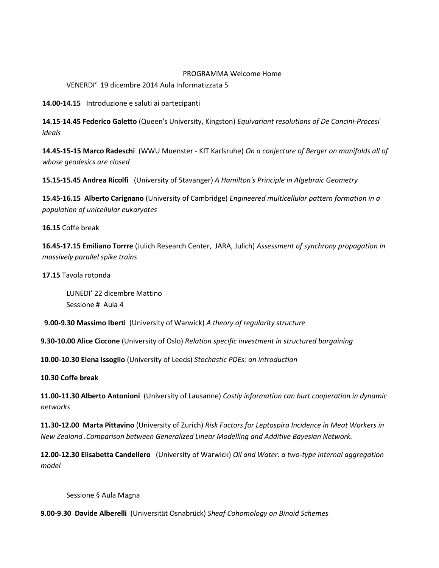## PROGRAMMA Welcome Home

VENERDI' 19 dicembre 2014 Aula Informatizzata 5

**14.00-14.15** Introduzione e saluti ai partecipanti

**14.15-14.45 Federico Galetto** (Queen's University, Kingston) *Equivariant resolutions of De Concini-Procesi ideals*

**14.45-15-15 Marco Radeschi** (WWU Muenster - KIT Karlsruhe) *On a conjecture of Berger on manifolds all of whose geodesics are closed*

**15.15-15.45 Andrea Ricolfi** (University of Stavanger) *A Hamilton's Principle in Algebraic Geometry*

**15.45-16.15 Alberto Carignano** (University of Cambridge) *Engineered multicellular pattern formation in a population of unicellular eukaryotes*

**16.15** Coffe break

**16.45-17.15 Emiliano Torrre** (Julich Research Center, JARA, Julich) *Assessment of synchrony propagation in massively parallel spike trains*

**17.15** Tavola rotonda

LUNEDI' 22 dicembre Mattino Sessione # Aula 4

 **9.00-9.30 Massimo Iberti** (University of Warwick) *A theory of regularity structure*

**9.30-10.00 Alice Ciccone** (University of Oslo) *Relation specific investment in structured bargaining*

**10.00-10.30 Elena Issoglio** (University of Leeds) *Stochastic PDEs: an introduction*

## **10.30 Coffe break**

**11.00-11.30 Alberto Antonioni** (University of Lausanne) *Costly information can hurt cooperation in dynamic networks*

**11.30-12.00 Marta Pittavino** (University of Zurich) *Risk Factors for Leptospira Incidence in Meat Workers in New Zealand .Comparison between Generalized Linear Modelling and Additive Bayesian Network.*

**12.00-12.30 Elisabetta Candellero** (University of Warwick) *Oil and Water: a two-type internal aggregation model*

Sessione § Aula Magna

**9.00-9.30 Davide Alberelli** (Universität Osnabrück) *Sheaf Cohomology on Binoid Schemes*